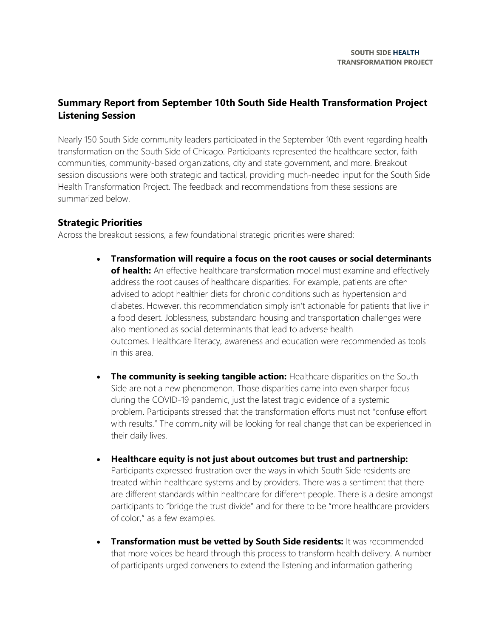## **Summary Report from September 10th South Side Health Transformation Project Listening Session**

Nearly 150 South Side community leaders participated in the September 10th event regarding health transformation on the South Side of Chicago. Participants represented the healthcare sector, faith communities, community-based organizations, city and state government, and more. Breakout session discussions were both strategic and tactical, providing much-needed input for the South Side Health Transformation Project. The feedback and recommendations from these sessions are summarized below.

## **Strategic Priorities**

Across the breakout sessions, a few foundational strategic priorities were shared:

- **Transformation will require a focus on the root causes or social determinants**  of health: An effective healthcare transformation model must examine and effectively address the root causes of healthcare disparities. For example, patients are often advised to adopt healthier diets for chronic conditions such as hypertension and diabetes. However, this recommendation simply isn't actionable for patients that live in a food desert. Joblessness, substandard housing and transportation challenges were also mentioned as social determinants that lead to adverse health outcomes. Healthcare literacy, awareness and education were recommended as tools in this area.
- **The community is seeking tangible action:** Healthcare disparities on the South Side are not a new phenomenon. Those disparities came into even sharper focus during the COVID-19 pandemic, just the latest tragic evidence of a systemic problem. Participants stressed that the transformation efforts must not "confuse effort with results." The community will be looking for real change that can be experienced in their daily lives.
- **Healthcare equity is not just about outcomes but trust and partnership:** Participants expressed frustration over the ways in which South Side residents are treated within healthcare systems and by providers. There was a sentiment that there are different standards within healthcare for different people. There is a desire amongst participants to "bridge the trust divide" and for there to be "more healthcare providers of color," as a few examples.
- **Transformation must be vetted by South Side residents:** It was recommended that more voices be heard through this process to transform health delivery. A number of participants urged conveners to extend the listening and information gathering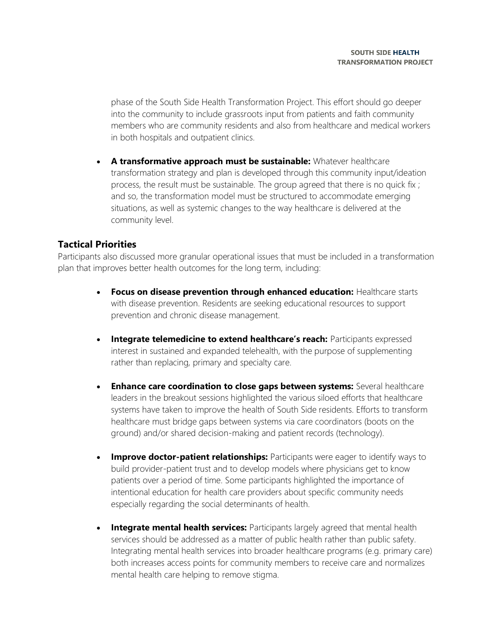phase of the South Side Health Transformation Project. This effort should go deeper into the community to include grassroots input from patients and faith community members who are community residents and also from healthcare and medical workers in both hospitals and outpatient clinics.

• **A transformative approach must be sustainable:** Whatever healthcare transformation strategy and plan is developed through this community input/ideation process, the result must be sustainable. The group agreed that there is no quick fix ; and so, the transformation model must be structured to accommodate emerging situations, as well as systemic changes to the way healthcare is delivered at the community level.

## **Tactical Priorities**

Participants also discussed more granular operational issues that must be included in a transformation plan that improves better health outcomes for the long term, including:

- **Focus on disease prevention through enhanced education:** Healthcare starts with disease prevention. Residents are seeking educational resources to support prevention and chronic disease management.
- **Integrate telemedicine to extend healthcare's reach:** Participants expressed interest in sustained and expanded telehealth, with the purpose of supplementing rather than replacing, primary and specialty care.
- **Enhance care coordination to close gaps between systems:** Several healthcare leaders in the breakout sessions highlighted the various siloed efforts that healthcare systems have taken to improve the health of South Side residents. Efforts to transform healthcare must bridge gaps between systems via care coordinators (boots on the ground) and/or shared decision-making and patient records (technology).
- **Improve doctor-patient relationships:** Participants were eager to identify ways to build provider-patient trust and to develop models where physicians get to know patients over a period of time. Some participants highlighted the importance of intentional education for health care providers about specific community needs especially regarding the social determinants of health.
- **Integrate mental health services:** Participants largely agreed that mental health services should be addressed as a matter of public health rather than public safety. Integrating mental health services into broader healthcare programs (e.g. primary care) both increases access points for community members to receive care and normalizes mental health care helping to remove stigma.